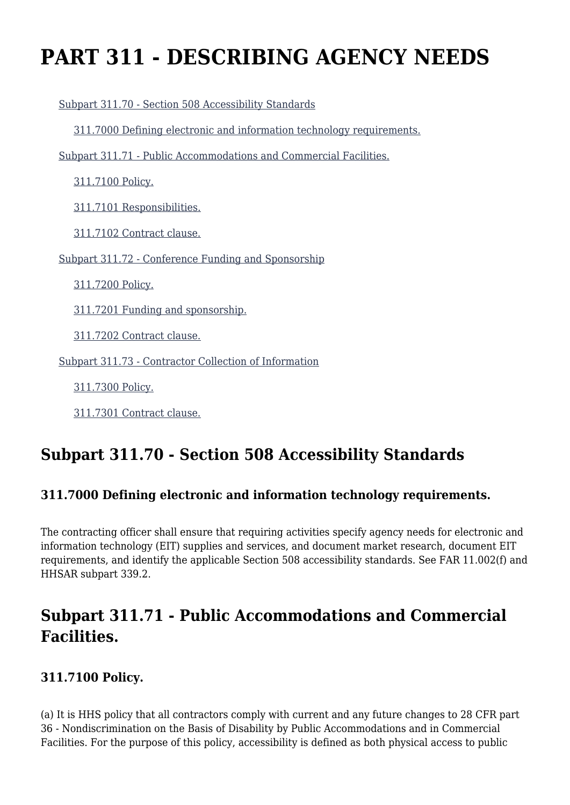# **PART 311 - DESCRIBING AGENCY NEEDS**

 [Subpart 311.70 - Section 508 Accessibility Standards](https://origin-www.acquisition.gov/%5Brp:link:hhsar-part-311%5D#Subpart_311_70_T48_4012121) [311.7000 Defining electronic and information technology requirements.](https://origin-www.acquisition.gov/%5Brp:link:hhsar-part-311%5D#Section_311_7000_T48_401212111) [Subpart 311.71 - Public Accommodations and Commercial Facilities.](https://origin-www.acquisition.gov/%5Brp:link:hhsar-part-311%5D#Subpart_311_71_T48_4012122) [311.7100 Policy.](https://origin-www.acquisition.gov/%5Brp:link:hhsar-part-311%5D#Section_311_7100_T48_401212211) [311.7101 Responsibilities.](https://origin-www.acquisition.gov/%5Brp:link:hhsar-part-311%5D#Section_311_7101_T48_401212212) [311.7102 Contract clause.](https://origin-www.acquisition.gov/%5Brp:link:hhsar-part-311%5D#Section_311_7102_T48_401212213) [Subpart 311.72 - Conference Funding and Sponsorship](https://origin-www.acquisition.gov/%5Brp:link:hhsar-part-311%5D#Subpart_311_72_T48_4012123) [311.7200 Policy.](https://origin-www.acquisition.gov/%5Brp:link:hhsar-part-311%5D#Section_311_7200_T48_401212311) [311.7201 Funding and sponsorship.](https://origin-www.acquisition.gov/%5Brp:link:hhsar-part-311%5D#Section_311_7201_T48_401212312) [311.7202 Contract clause.](https://origin-www.acquisition.gov/%5Brp:link:hhsar-part-311%5D#Section_311_7202_T48_401212313) [Subpart 311.73 - Contractor Collection of Information](https://origin-www.acquisition.gov/%5Brp:link:hhsar-part-311%5D#Subpart_311_73_T48_4012124) [311.7300 Policy.](https://origin-www.acquisition.gov/%5Brp:link:hhsar-part-311%5D#Section_311_7300_T48_401212411)

# **Subpart 311.70 - Section 508 Accessibility Standards**

# **311.7000 Defining electronic and information technology requirements.**

The contracting officer shall ensure that requiring activities specify agency needs for electronic and information technology (EIT) supplies and services, and document market research, document EIT requirements, and identify the applicable Section 508 accessibility standards. See FAR 11.002(f) and HHSAR subpart 339.2.

# **Subpart 311.71 - Public Accommodations and Commercial Facilities.**

### **311.7100 Policy.**

[311.7301 Contract clause.](https://origin-www.acquisition.gov/%5Brp:link:hhsar-part-311%5D#Section_311_7301_T48_401212412)

(a) It is HHS policy that all contractors comply with current and any future changes to 28 CFR part 36 - Nondiscrimination on the Basis of Disability by Public Accommodations and in Commercial Facilities. For the purpose of this policy, accessibility is defined as both physical access to public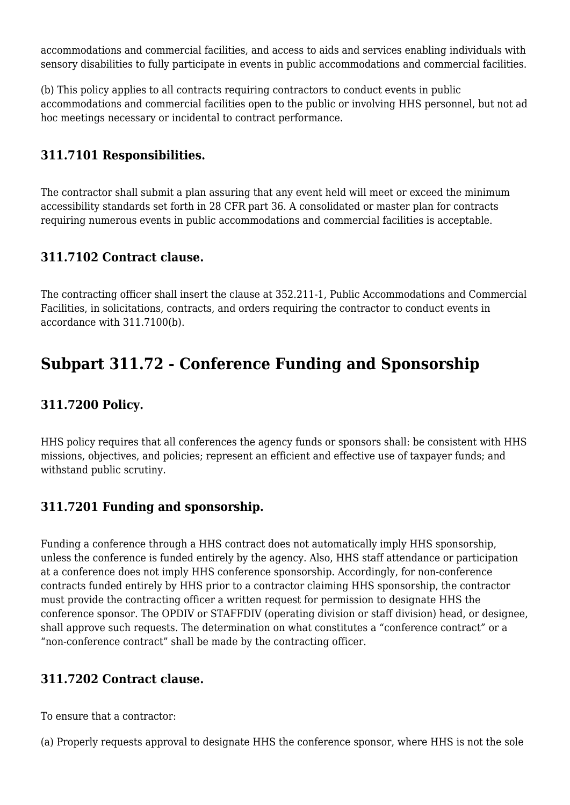accommodations and commercial facilities, and access to aids and services enabling individuals with sensory disabilities to fully participate in events in public accommodations and commercial facilities.

(b) This policy applies to all contracts requiring contractors to conduct events in public accommodations and commercial facilities open to the public or involving HHS personnel, but not ad hoc meetings necessary or incidental to contract performance.

### **311.7101 Responsibilities.**

The contractor shall submit a plan assuring that any event held will meet or exceed the minimum accessibility standards set forth in 28 CFR part 36. A consolidated or master plan for contracts requiring numerous events in public accommodations and commercial facilities is acceptable.

### **311.7102 Contract clause.**

The contracting officer shall insert the clause at 352.211-1, Public Accommodations and Commercial Facilities, in solicitations, contracts, and orders requiring the contractor to conduct events in accordance with 311.7100(b).

# **Subpart 311.72 - Conference Funding and Sponsorship**

### **311.7200 Policy.**

HHS policy requires that all conferences the agency funds or sponsors shall: be consistent with HHS missions, objectives, and policies; represent an efficient and effective use of taxpayer funds; and withstand public scrutiny.

### **311.7201 Funding and sponsorship.**

Funding a conference through a HHS contract does not automatically imply HHS sponsorship, unless the conference is funded entirely by the agency. Also, HHS staff attendance or participation at a conference does not imply HHS conference sponsorship. Accordingly, for non-conference contracts funded entirely by HHS prior to a contractor claiming HHS sponsorship, the contractor must provide the contracting officer a written request for permission to designate HHS the conference sponsor. The OPDIV or STAFFDIV (operating division or staff division) head, or designee, shall approve such requests. The determination on what constitutes a "conference contract" or a "non-conference contract" shall be made by the contracting officer.

### **311.7202 Contract clause.**

To ensure that a contractor:

(a) Properly requests approval to designate HHS the conference sponsor, where HHS is not the sole